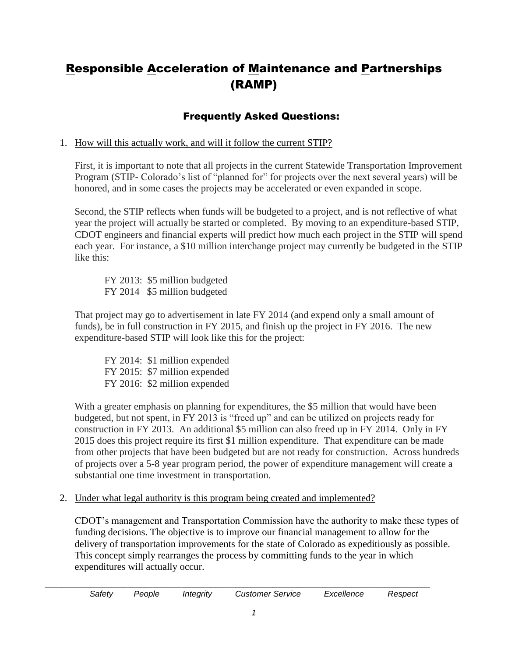# Responsible Acceleration of Maintenance and Partnerships (RAMP)

# Frequently Asked Questions:

1. How will this actually work, and will it follow the current STIP?

First, it is important to note that all projects in the current Statewide Transportation Improvement Program (STIP- Colorado's list of "planned for" for projects over the next several years) will be honored, and in some cases the projects may be accelerated or even expanded in scope.

Second, the STIP reflects when funds will be budgeted to a project, and is not reflective of what year the project will actually be started or completed. By moving to an expenditure-based STIP, CDOT engineers and financial experts will predict how much each project in the STIP will spend each year. For instance, a \$10 million interchange project may currently be budgeted in the STIP like this:

FY 2013: \$5 million budgeted FY 2014 \$5 million budgeted

That project may go to advertisement in late FY 2014 (and expend only a small amount of funds), be in full construction in FY 2015, and finish up the project in FY 2016. The new expenditure-based STIP will look like this for the project:

FY 2014: \$1 million expended FY 2015: \$7 million expended FY 2016: \$2 million expended

With a greater emphasis on planning for expenditures, the \$5 million that would have been budgeted, but not spent, in FY 2013 is "freed up" and can be utilized on projects ready for construction in FY 2013. An additional \$5 million can also freed up in FY 2014. Only in FY 2015 does this project require its first \$1 million expenditure. That expenditure can be made from other projects that have been budgeted but are not ready for construction. Across hundreds of projects over a 5-8 year program period, the power of expenditure management will create a substantial one time investment in transportation.

2. Under what legal authority is this program being created and implemented?

CDOT's management and Transportation Commission have the authority to make these types of funding decisions. The objective is to improve our financial management to allow for the delivery of transportation improvements for the state of Colorado as expeditiously as possible. This concept simply rearranges the process by committing funds to the year in which expenditures will actually occur.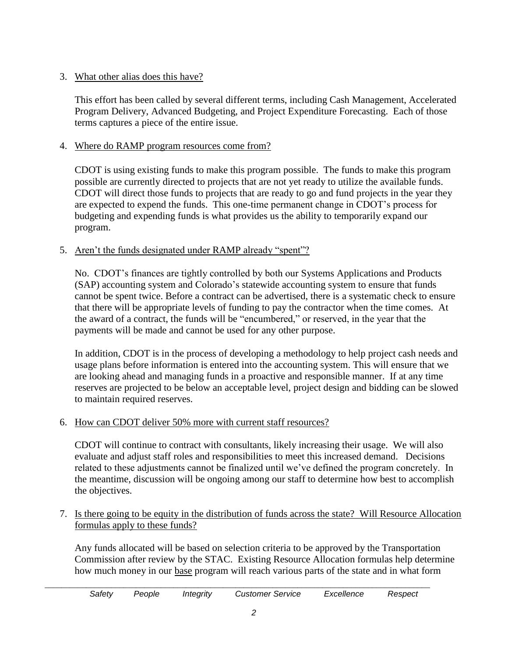#### 3. What other alias does this have?

This effort has been called by several different terms, including Cash Management, Accelerated Program Delivery, Advanced Budgeting, and Project Expenditure Forecasting. Each of those terms captures a piece of the entire issue.

#### 4. Where do RAMP program resources come from?

CDOT is using existing funds to make this program possible. The funds to make this program possible are currently directed to projects that are not yet ready to utilize the available funds. CDOT will direct those funds to projects that are ready to go and fund projects in the year they are expected to expend the funds. This one-time permanent change in CDOT's process for budgeting and expending funds is what provides us the ability to temporarily expand our program.

### 5. Aren't the funds designated under RAMP already "spent"?

No. CDOT's finances are tightly controlled by both our Systems Applications and Products (SAP) accounting system and Colorado's statewide accounting system to ensure that funds cannot be spent twice. Before a contract can be advertised, there is a systematic check to ensure that there will be appropriate levels of funding to pay the contractor when the time comes. At the award of a contract, the funds will be "encumbered," or reserved, in the year that the payments will be made and cannot be used for any other purpose.

In addition, CDOT is in the process of developing a methodology to help project cash needs and usage plans before information is entered into the accounting system. This will ensure that we are looking ahead and managing funds in a proactive and responsible manner. If at any time reserves are projected to be below an acceptable level, project design and bidding can be slowed to maintain required reserves.

## 6. How can CDOT deliver 50% more with current staff resources?

CDOT will continue to contract with consultants, likely increasing their usage. We will also evaluate and adjust staff roles and responsibilities to meet this increased demand. Decisions related to these adjustments cannot be finalized until we've defined the program concretely. In the meantime, discussion will be ongoing among our staff to determine how best to accomplish the objectives.

7. Is there going to be equity in the distribution of funds across the state? Will Resource Allocation formulas apply to these funds?

Any funds allocated will be based on selection criteria to be approved by the Transportation Commission after review by the STAC. Existing Resource Allocation formulas help determine how much money in our base program will reach various parts of the state and in what form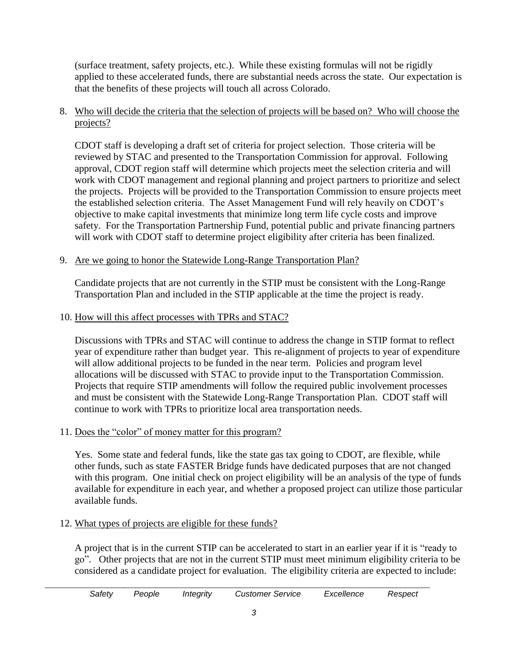(surface treatment, safety projects, etc.). While these existing formulas will not be rigidly applied to these accelerated funds, there are substantial needs across the state. Our expectation is that the benefits of these projects will touch all across Colorado.

#### 8. Who will decide the criteria that the selection of projects will be based on? Who will choose the projects?

CDOT staff is developing a draft set of criteria for project selection. Those criteria will be reviewed by STAC and presented to the Transportation Commission for approval. Following approval, CDOT region staff will determine which projects meet the selection criteria and will work with CDOT management and regional planning and project partners to prioritize and select the projects. Projects will be provided to the Transportation Commission to ensure projects meet the established selection criteria. The Asset Management Fund will rely heavily on CDOT's objective to make capital investments that minimize long term life cycle costs and improve safety. For the Transportation Partnership Fund, potential public and private financing partners will work with CDOT staff to determine project eligibility after criteria has been finalized.

#### 9. Are we going to honor the Statewide Long-Range Transportation Plan?

Candidate projects that are not currently in the STIP must be consistent with the Long-Range Transportation Plan and included in the STIP applicable at the time the project is ready.

#### 10. How will this affect processes with TPRs and STAC?

Discussions with TPRs and STAC will continue to address the change in STIP format to reflect year of expenditure rather than budget year. This re-alignment of projects to year of expenditure will allow additional projects to be funded in the near term. Policies and program level allocations will be discussed with STAC to provide input to the Transportation Commission. Projects that require STIP amendments will follow the required public involvement processes and must be consistent with the Statewide Long-Range Transportation Plan. CDOT staff will continue to work with TPRs to prioritize local area transportation needs.

#### 11. Does the "color" of money matter for this program?

Yes. Some state and federal funds, like the state gas tax going to CDOT, are flexible, while other funds, such as state FASTER Bridge funds have dedicated purposes that are not changed with this program. One initial check on project eligibility will be an analysis of the type of funds available for expenditure in each year, and whether a proposed project can utilize those particular available funds.

#### 12. What types of projects are eligible for these funds?

A project that is in the current STIP can be accelerated to start in an earlier year if it is "ready to go". Other projects that are not in the current STIP must meet minimum eligibility criteria to be considered as a candidate project for evaluation. The eligibility criteria are expected to include: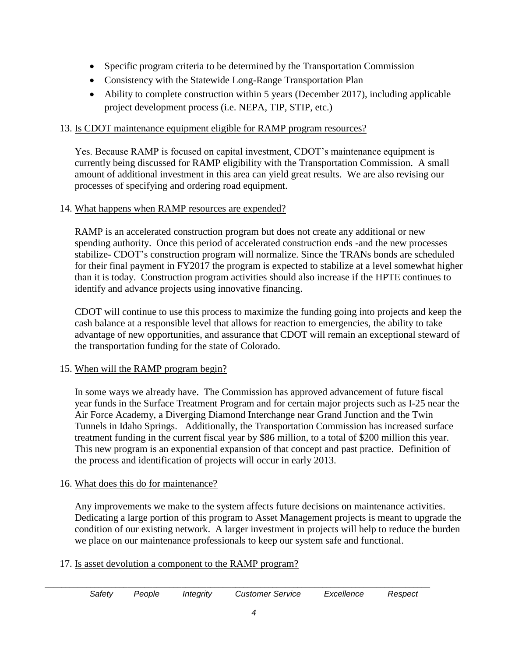- Specific program criteria to be determined by the Transportation Commission
- Consistency with the Statewide Long-Range Transportation Plan
- Ability to complete construction within 5 years (December 2017), including applicable project development process (i.e. NEPA, TIP, STIP, etc.)

#### 13. Is CDOT maintenance equipment eligible for RAMP program resources?

Yes. Because RAMP is focused on capital investment, CDOT's maintenance equipment is currently being discussed for RAMP eligibility with the Transportation Commission. A small amount of additional investment in this area can yield great results. We are also revising our processes of specifying and ordering road equipment.

#### 14. What happens when RAMP resources are expended?

RAMP is an accelerated construction program but does not create any additional or new spending authority. Once this period of accelerated construction ends -and the new processes stabilize- CDOT's construction program will normalize. Since the TRANs bonds are scheduled for their final payment in FY2017 the program is expected to stabilize at a level somewhat higher than it is today. Construction program activities should also increase if the HPTE continues to identify and advance projects using innovative financing.

CDOT will continue to use this process to maximize the funding going into projects and keep the cash balance at a responsible level that allows for reaction to emergencies, the ability to take advantage of new opportunities, and assurance that CDOT will remain an exceptional steward of the transportation funding for the state of Colorado.

#### 15. When will the RAMP program begin?

In some ways we already have. The Commission has approved advancement of future fiscal year funds in the Surface Treatment Program and for certain major projects such as I-25 near the Air Force Academy, a Diverging Diamond Interchange near Grand Junction and the Twin Tunnels in Idaho Springs. Additionally, the Transportation Commission has increased surface treatment funding in the current fiscal year by \$86 million, to a total of \$200 million this year. This new program is an exponential expansion of that concept and past practice. Definition of the process and identification of projects will occur in early 2013.

#### 16. What does this do for maintenance?

Any improvements we make to the system affects future decisions on maintenance activities. Dedicating a large portion of this program to Asset Management projects is meant to upgrade the condition of our existing network. A larger investment in projects will help to reduce the burden we place on our maintenance professionals to keep our system safe and functional.

#### 17. Is asset devolution a component to the RAMP program?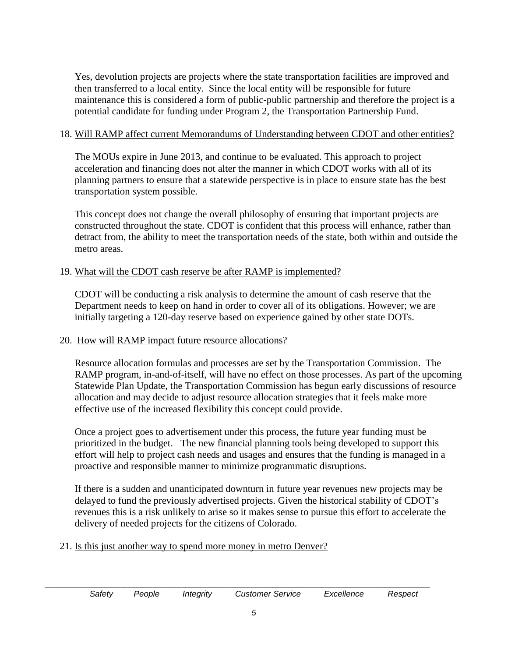Yes, devolution projects are projects where the state transportation facilities are improved and then transferred to a local entity. Since the local entity will be responsible for future maintenance this is considered a form of public-public partnership and therefore the project is a potential candidate for funding under Program 2, the Transportation Partnership Fund.

#### 18. Will RAMP affect current Memorandums of Understanding between CDOT and other entities?

The MOUs expire in June 2013, and continue to be evaluated. This approach to project acceleration and financing does not alter the manner in which CDOT works with all of its planning partners to ensure that a statewide perspective is in place to ensure state has the best transportation system possible.

This concept does not change the overall philosophy of ensuring that important projects are constructed throughout the state. CDOT is confident that this process will enhance, rather than detract from, the ability to meet the transportation needs of the state, both within and outside the metro areas.

#### 19. What will the CDOT cash reserve be after RAMP is implemented?

CDOT will be conducting a risk analysis to determine the amount of cash reserve that the Department needs to keep on hand in order to cover all of its obligations. However; we are initially targeting a 120-day reserve based on experience gained by other state DOTs.

#### 20. How will RAMP impact future resource allocations?

Resource allocation formulas and processes are set by the Transportation Commission. The RAMP program, in-and-of-itself, will have no effect on those processes. As part of the upcoming Statewide Plan Update, the Transportation Commission has begun early discussions of resource allocation and may decide to adjust resource allocation strategies that it feels make more effective use of the increased flexibility this concept could provide.

Once a project goes to advertisement under this process, the future year funding must be prioritized in the budget. The new financial planning tools being developed to support this effort will help to project cash needs and usages and ensures that the funding is managed in a proactive and responsible manner to minimize programmatic disruptions.

If there is a sudden and unanticipated downturn in future year revenues new projects may be delayed to fund the previously advertised projects. Given the historical stability of CDOT's revenues this is a risk unlikely to arise so it makes sense to pursue this effort to accelerate the delivery of needed projects for the citizens of Colorado.

#### 21. Is this just another way to spend more money in metro Denver?